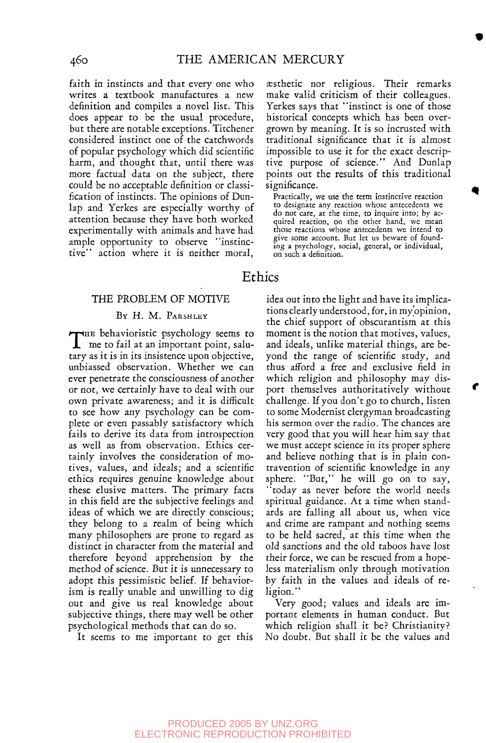faith in instincts and that every one who writes a textbook manufactures a new definition and compiles a novel list. This does appear to be the usual procedure, but there are notable exceptions. Titchener considered instinct one of the catchwords of popular psychology which did scientific harm, and thought that, until there was more factual data on the subject, there could be no acceptable definition or classification of instincts. The opinions of Dunlap and Yerkes are especially worthy of attention because they have both worked experimentally with animals and have had ample opportunity to observe "instinctive" action where it is neither moral,

### THE PROBLEM OF MOTIVE

### BY H. M. PARSHLEY

THE behavioristic psychology seems to<br>me to fail at an important point, salume to fail at an important point, salutary as it is in its insistence upon objective, unbiassed observation. Whether we can ever penetrate the consciousness of another or not, we certainly have to deal with our own private awareness; and it is difficult to see how any psychology can be complete or even passably satisfactory which fails to derive its data from introspection as well as from observation. Ethics certainly involves the consideration of motives, values, and ideals; and a scientific ethics requires genuine knowledge about these elusive matters. The primary facts in this field are the subjective feelings and ideas of which we are directly conscious; they belong to a realm of being which many philosophers are prone to regard as distinct in character from the material and therefore beyond apprehension by the method of science. But it is unnecessary to adopt this pessimistic belief. If behaviorism is really unable and unwilling to dig out and give us real knowledge about out and give us rear knowledge apout subjective things, there may well be of psychological methods that can do so.<br>It seems to me important to get this

aesthetic nor religious. Their remarks make valid criticism of their colleagues. Yerkes says that "instinct is one of those historical concepts which has been overgrown by meaning. It is so incrusted with traditional significance that it is almost impossible to use it for the exact descriptive purpose of science." And Dunlap points out the results of this traditional significance.

Practically, we use the term instinctive reaction to designate any reaction whose antecedents we do not care, at the time, to inquire into; by ac-quired reaction, on the other hand, we mean those reactions whose antecedents we intend to give some account. But let us beware of founding a psychology, social, general, or individual, on such a definition.

## Ethics

idea out into the light and have its implications clearly understood, for, in my opinion, the chief support of obscurantism at this moment is the notion that motives, values, and ideals, unlike material things, are beyond the range of scientific study, and thus afford a free and exclusive field in which religion and philosophy may disport themselves authoritatively without challenge. If you don't go to church, listen to some Modernist clergyman broadcasting his sermon over the radio. The chances are very good that you will hear him say that we must accept science in its proper sphere and believe nothing that is in plain contravention of scientific knowledge in any sphere. "But," he will go on to say, "today as never before the world needs spiritual guidance. At a time when standards are falling all about us, when vice and crime are rampant and nothing seems to be held sacred, at this time when the old sanctions and the old taboos have lost their force, we can be rescued from a hopeless materialism only through motivation by faith in the values and ideals of religion."

Very good; values and ideals are important elements in human conduct. But which religion shall *it* be? Christianity? No doubt. But shall it be the values and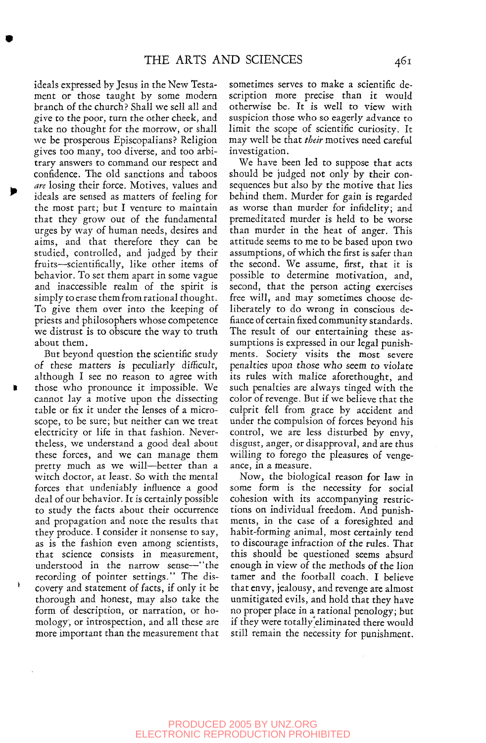ideals expressed by Jesus in the New Testament or those taught by some modern branch of the church? Shall we sell all and give to the poor, turn the other cheek, and take no thought for the morrow, or shall we be prosperous Episcopalians? Religion gives too many, too diverse, and too arbitrary answers to command our respect and confidence. The old sanctions and taboos are losing their force. Motives, values and ideals are sensed as matters of feeling for the most part; but I venture to maintain that they grow out of the fundamental urges by way of human needs, desires and aims, and that therefore they can be studied, controlled, and judged by their fruits—scientifically, like other items of behavior. To set them apart in some vague and inaccessible realm of the spirit is simply to erase them from rational thought. To give them over into the keeping of priests and philosophers whose competence we distrust is to obscure the way to truth about them.

But beyond question the scientific study of these matters is peculiarly difficult, although I see no reason to agree with those who pronounce it impossible. We cannot lay a motive upon the dissecting table or fix *it* under the lenses of a microscope, to be sure; but neither can we treat electricity or life in that fashion. Nevertheless, we understand a good deal about these forces, and we can manage them pretty much as we will—better than a witch doctor, at least. So with the mental forces that undeniably influence a good deal of our behavior. It is certainly possible to study the facts about their occurrence and propagation and note the results that they produce. I consider it nonsense to say, as is the fashion even among scientists, that science consists in measurement, understood in the narrow sense—"the recording of pointer settings." The dis covery and statement of facts, if only it be thorough and honest, may also take the form of description, or narration, or homology, or introspection, and all these are more important than the measurement that

sometimes serves to make a scientific description more precise than *it* would otherwise be. It is well to view with suspicion those who so eagerly advance to limit the scope of scientific curiosity. It may well be that *their* motives need careful investigation.

We have been led to suppose that acts should be judged not only by their consequences but also by the motive that lies behind them. Murder for gain is regarded as worse than murder for infidelity; and premeditated murder is held to be worse than murder in the heat of anger. This attitude seems to me to be based upon two assumptions, of which the first is safer than the second. We assume, first, that it is possible to determine motivation, and, second, that the person acting exercises free will, and may sometimes choose deliberately to do wrong in conscious defiance of certain fixed community standards. The result of our entertaining these assumptions is expressed in our legal punishments. Society visits the most severe penalties upon those who seem to violate its rules with malice aforethought, and such penalties are always tinged with the color of revenge. But if we believe that the culprit fell from grace by accident and under the compulsion of forces beyond his control, we are less disturbed by envy, disgust, anger, or disapproval, and are thus willing to forego the pleasures of vengeance, in a measure.

Now, the biological reason for law in some form is the necessity for social cohesion with its accompanying restrictions on individual freedom. And punishments, in the case of a foresighted and habit-forming animal, most certainly tend to discourage infraction of the rules. That this should be questioned seems absurd enough in view of the methods of the lion tamer and the football coach. I believe that envy, jealousy, and revenge are almost unmitigated evils, and hold that they have no proper place in a rational penology; but if they were totally'eliminated there would still remain the necessity for punishment.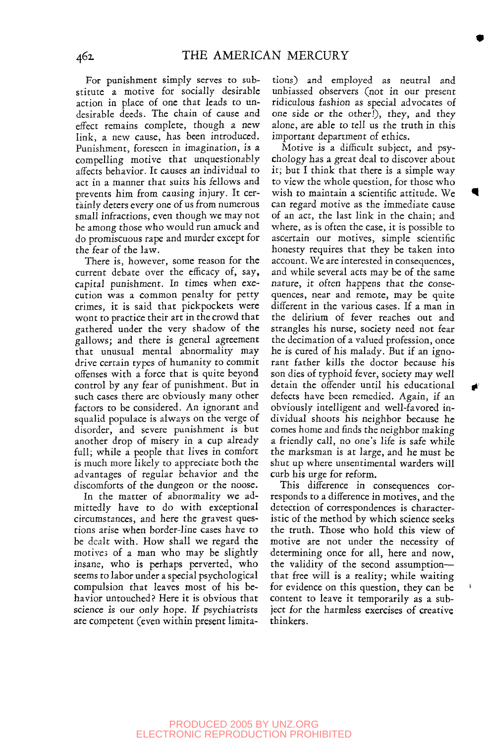For punishment simply serves to substitute a motive for socially desirable action in place of one that leads to undesirable deeds. The chain of cause and effect remains complete, though a new link, a new cause, has been introduced. Punishment, foreseen in imagination, is a compelling motive that unquestionably affects behavior. It causes an individual to act in a manner that suits his fellows and prevents him from causing injury. It certainly deters every one of us from numerous small infractions, even though we may not be among those who would run amuck and do promiscuous rape and murder except for the fear of the law.

There is, however, some reason for the current debate over the efficacy of, say, capital punishment. In times when execution was a common penalty for petty crimes, it is said that pickpockets were wont to practice their art in the crowd that gathered under the very shadow of the gallows; and there is general agreement that unusual mental abnormality may drive certain types of humanity to commit offenses with a force that is quite beyond control by any fear of punishment. But in such cases there are obviously many other factors to be considered. An ignorant and squalid populace is always on the verge of disorder, and severe punishment is but another drop of misery in a cup already full; while a people that lives in comfort is much more likely to appreciate both the advantages of regular behavior and the discomforts of the dungeon or the noose.

In the matter of abnormality we admittedly have to do with exceptional circumstances, and here the gravest questions arise when border-line cases have to be dealt with. How shall we regard the motives of a man who may be slightly insane, who is perhaps perverted, who seems to labor under a special psychological compulsion that leaves most of his behavior untouched? Here it is obvious that science is our only hope. If psychiatrists are competent (even within present limitations) and employed as neutral and unbiassed observers (not in our present ridiculous fashion as special advocates of one side or the other!), they, and they alone, are able to tell us the truth in this important department of ethics.

Motive is a difficult subject, and psychology has a great deal to discover about it; but I think that there is a simple way to view the whole question, for those who wish to maintain a scientific attitude. We can regard motive as the immediate cause of an act, the last link in the chain; and where, as is often the case, it is possible to ascertain our motives, simple scientific honesty requires that they be taken into account. We are interested in consequences, and while several acts may be of the same nature, it often happens that the consequences, near and remote, may be quite different in the various cases. If a man in the delirium of fever reaches out and strangles his nurse, society need not fear the decimation of a valued profession, once he is cured of his malady. But if an ignorant father kills the doctor because his son dies of typhoid fever, society may well detain the offender until his educational defects have been remedied. Again, if an obviously intelligent and well-favored individual shoots his neighbor because he comes home and finds the neighbor making a friendly call, no one's life is safe while the marksman is at large, and he must be shut up where unsentimental warders will curb his urge for reform.

This difference in consequences corresponds to a difference in motives, and the detection of correspondences is characteristic of the method by which science seeks the truth. Those who hold this view of motive are not under the necessity of determining once for all, here and now, the validity of the second assumption that free will is a reality; while waiting for evidence on this question, they can be content to leave it temporarily as a subject for the harmless exercises of creative thinkers.